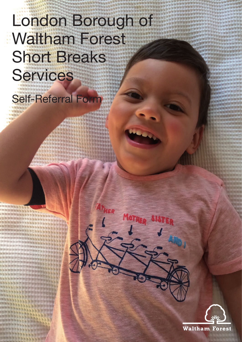## London Borough of Waltham Forest Short Breaks **Services**

ER

MOTHER SIST

Self-Referral Form

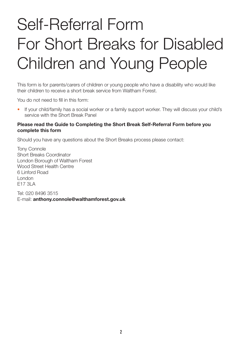# Self-Referral Form For Short Breaks for Disabled Children and Young People

This form is for parents/carers of children or young people who have a disability who would like their children to receive a short break service from Waltham Forest.

You do not need to fill in this form:

• If your child/family has a social worker or a family support worker. They will discuss your child's service with the Short Break Panel

#### **Please read the Guide to Completing the Short Break Self-Referral Form before you complete this form**

Should you have any questions about the Short Breaks process please contact:

Tony Connole Short Breaks Coordinator London Borough of Waltham Forest Wood Street Health Centre 6 Linford Road London E17 3LA

Tel: 020 8496 3515 E-mail: **anthony.connole@walthamforest.gov.uk**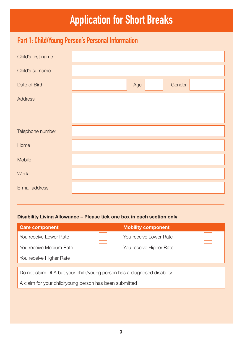## **Application for Short Breaks**

## **Part 1: Child/Young Person's Personal Information**

| Child's first name |     |        |
|--------------------|-----|--------|
| Child's surname    |     |        |
| Date of Birth      | Age | Gender |
| <b>Address</b>     |     |        |
|                    |     |        |
| Telephone number   |     |        |
| Home               |     |        |
| Mobile             |     |        |
| Work               |     |        |
| E-mail address     |     |        |

#### **Disability Living Allowance – Please tick one box in each section only**

| <b>Care component</b>                                                   | <b>Mobility component</b> |  |  |
|-------------------------------------------------------------------------|---------------------------|--|--|
| You receive Lower Rate                                                  | You receive Lower Rate    |  |  |
| You receive Medium Rate                                                 | You receive Higher Rate   |  |  |
| You receive Higher Rate                                                 |                           |  |  |
|                                                                         |                           |  |  |
| Do not claim DLA but your child/young person has a diagnosed disability |                           |  |  |
| A claim for your child/young person has been submitted                  |                           |  |  |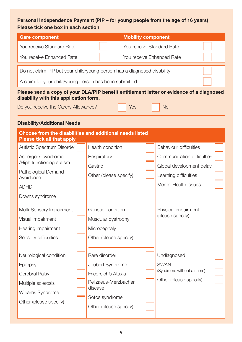#### **Personal Independence Payment (PIP – for young people from the age of 16 years) Please tick one box in each section**

| Please tick one box in each section                                                                                                |                                          |                           |                                                        |  |
|------------------------------------------------------------------------------------------------------------------------------------|------------------------------------------|---------------------------|--------------------------------------------------------|--|
| <b>Care component</b>                                                                                                              |                                          | <b>Mobility component</b> |                                                        |  |
| You receive Standard Rate                                                                                                          |                                          | You receive Standard Rate |                                                        |  |
| You receive Enhanced Rate                                                                                                          |                                          | You receive Enhanced Rate |                                                        |  |
| Do not claim PIP but your child/young person has a diagnosed disability                                                            |                                          |                           |                                                        |  |
| A claim for your child/young person has been submitted                                                                             |                                          |                           |                                                        |  |
| Please send a copy of your DLA/PIP benefit entitlement letter or evidence of a diagnosed<br>disability with this application form. |                                          |                           |                                                        |  |
| Do you receive the Carers Allowance?                                                                                               |                                          | Yes                       | <b>No</b>                                              |  |
| <b>Disability/Additional Needs</b>                                                                                                 |                                          |                           |                                                        |  |
| <b>Choose from the disabilities and additional needs listed</b><br><b>Please tick all that apply</b>                               |                                          |                           |                                                        |  |
| Autistic Spectrum Disorder                                                                                                         | Health condition                         |                           | <b>Behaviour difficulties</b>                          |  |
| Asperger's syndrome<br>/High functioning autism                                                                                    | Respiratory<br>Gastric                   |                           | Communication difficulties<br>Global development delay |  |
| Pathological Demand<br>Avoidance                                                                                                   | Other (please specify)                   |                           | Learning difficulties                                  |  |
| <b>ADHD</b>                                                                                                                        |                                          |                           | <b>Mental Health Issues</b>                            |  |
| Downs syndrome                                                                                                                     |                                          |                           |                                                        |  |
| Multi-Sensory Impairment                                                                                                           | Genetic condition                        |                           | Physical impairment                                    |  |
| Visual impairment                                                                                                                  | Muscular dystrophy                       |                           | (please specify)                                       |  |
| Hearing impairment                                                                                                                 | Microcephaly                             |                           |                                                        |  |
| Sensory difficulties                                                                                                               | Other (please specify)                   |                           |                                                        |  |
| Neurological condition                                                                                                             | Rare disorder                            |                           | Undiagnosed                                            |  |
| <b>Epilepsy</b>                                                                                                                    | Joubert Syndrome                         |                           | <b>SWAN</b>                                            |  |
| Cerebral Palsy                                                                                                                     | Friedreich's Ataxia                      |                           | (Syndrome without a name)                              |  |
| Multiple sclerosis                                                                                                                 | Pelizaeus-Merzbacher                     |                           | Other (please specify)                                 |  |
| Williams Syndrome                                                                                                                  | disease                                  |                           |                                                        |  |
| Other (please specify)                                                                                                             | Sotos syndrome<br>Other (please specify) |                           |                                                        |  |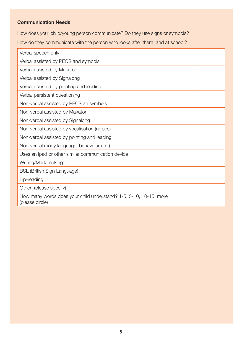#### **Communication Needs**

How does your child/young person communicate? Do they use signs or symbols?

How do they communicate with the person who looks after them, and at school?

| Verbal speech only                                                                   |  |  |
|--------------------------------------------------------------------------------------|--|--|
| Verbal assisted by PECS and symbols                                                  |  |  |
| Verbal assisted by Makaton                                                           |  |  |
| Verbal assisted by Signalong                                                         |  |  |
| Verbal assisted by pointing and leading                                              |  |  |
| Verbal persistent questioning                                                        |  |  |
| Non-verbal assisted by PECS an symbols                                               |  |  |
| Non-verbal assisted by Makaton                                                       |  |  |
| Non-verbal assisted by Signalong                                                     |  |  |
| Non-verbal assisted by vocalisation (noises)                                         |  |  |
| Non-verbal assisted by pointing and leading                                          |  |  |
| Non-verbal (body language, behaviour etc.)                                           |  |  |
| Uses an ipad or other similar communication device                                   |  |  |
| Writing/Mark making                                                                  |  |  |
| <b>BSL (British Sign Language)</b>                                                   |  |  |
| Lip-reading                                                                          |  |  |
| Other (please specify)                                                               |  |  |
| How many words does your child understand? 1-5, 5-10, 10-15, more<br>(please circle) |  |  |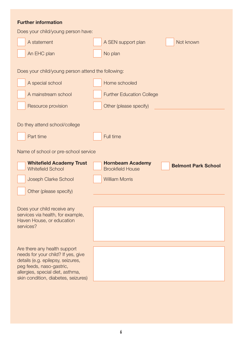| <b>Further information</b>                                                                                                                                                                                     |                                                                                  |
|----------------------------------------------------------------------------------------------------------------------------------------------------------------------------------------------------------------|----------------------------------------------------------------------------------|
| Does your child/young person have:                                                                                                                                                                             |                                                                                  |
| A statement                                                                                                                                                                                                    | Not known<br>A SEN support plan                                                  |
| An EHC plan                                                                                                                                                                                                    | No plan                                                                          |
| Does your child/young person attend the following:                                                                                                                                                             |                                                                                  |
| A special school                                                                                                                                                                                               | Home schooled                                                                    |
| A mainstream school                                                                                                                                                                                            | <b>Further Education College</b>                                                 |
| Resource provision                                                                                                                                                                                             | Other (please specify)                                                           |
| Do they attend school/college                                                                                                                                                                                  |                                                                                  |
| Part time                                                                                                                                                                                                      | Full time                                                                        |
| Name of school or pre-school service                                                                                                                                                                           |                                                                                  |
| <b>Whitefield Academy Trust</b><br><b>Whitefield School</b>                                                                                                                                                    | <b>Hornbeam Academy</b><br><b>Belmont Park School</b><br><b>Brookfield House</b> |
| Joseph Clarke School                                                                                                                                                                                           | <b>William Morris</b>                                                            |
| Other (please specify)                                                                                                                                                                                         |                                                                                  |
| Does your child receive any<br>services via health, for example,<br>Haven House, or education<br>services?                                                                                                     |                                                                                  |
| Are there any health support<br>needs for your child? If yes, give<br>details (e.g. epilepsy, seizures,<br>peg feeds, naso-gastric,<br>allergies, special diet, asthma,<br>skin condition, diabetes, seizures) |                                                                                  |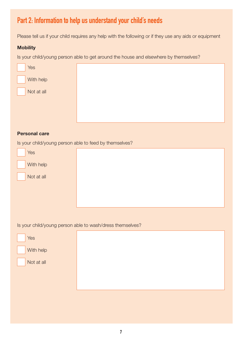## **Part 2: Information to help us understand your child's needs**

Please tell us if your child requires any help with the following or if they use any aids or equipment

#### **Mobility**

Is your child/young person able to get around the house and elsewhere by themselves?

| Yes        |  |
|------------|--|
| With help  |  |
| Not at all |  |
|            |  |
|            |  |

#### **Personal care**

Is your child/young person able to feed by themselves?

| Yes        |  |
|------------|--|
| With help  |  |
| Not at all |  |
|            |  |
|            |  |

Is your child/young person able to wash/dress themselves?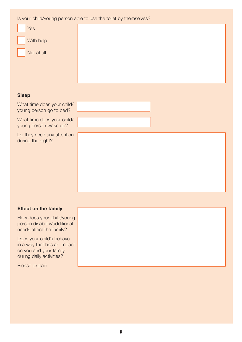Is your child/young person able to use the toilet by themselves?

| <b>Yes</b> |  |
|------------|--|
| With help  |  |
| Not at all |  |
|            |  |
|            |  |

#### **Sleep**

What time does your child/ young person go to bed?

What time does your child/ young person wake up?

Do they need any attention during the night?

#### **Effect on the family**

How does your child/young person disability/additional needs affect the family?

Does your child's behave in a way that has an impact on you and your family during daily activities?

Please explain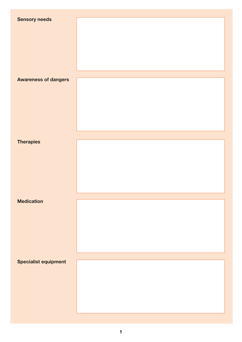| <b>Sensory needs</b>        |  |
|-----------------------------|--|
|                             |  |
|                             |  |
|                             |  |
|                             |  |
|                             |  |
|                             |  |
|                             |  |
|                             |  |
| <b>Awareness of dangers</b> |  |
|                             |  |
|                             |  |
|                             |  |
|                             |  |
|                             |  |
|                             |  |
|                             |  |
|                             |  |
|                             |  |
|                             |  |
| <b>Therapies</b>            |  |
|                             |  |
|                             |  |
|                             |  |
|                             |  |
|                             |  |
|                             |  |
|                             |  |
|                             |  |
| <b>Medication</b>           |  |
|                             |  |
|                             |  |
|                             |  |
|                             |  |
|                             |  |
|                             |  |
|                             |  |
|                             |  |
|                             |  |
| <b>Specialist equipment</b> |  |
|                             |  |
|                             |  |
|                             |  |
|                             |  |
|                             |  |
|                             |  |
|                             |  |
|                             |  |
|                             |  |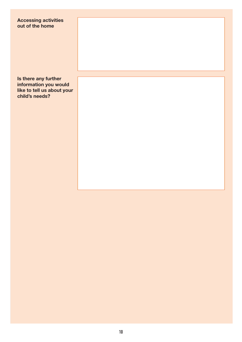#### **Accessing activities out of the home**

**Is there any further information you would like to tell us about your child's needs?**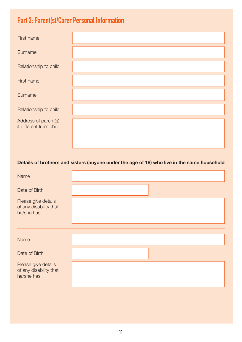## **Part 3: Parent(s)/Carer Personal Information**

| First name                                      |  |
|-------------------------------------------------|--|
| Surname                                         |  |
| Relationship to child                           |  |
| First name                                      |  |
| Surname                                         |  |
| Relationship to child                           |  |
| Address of parent(s)<br>if different from child |  |

#### **Details of brothers and sisters (anyone under the age of 18) who live in the same household**

| <b>Name</b>                                                 |  |
|-------------------------------------------------------------|--|
| Date of Birth                                               |  |
| Please give details<br>of any disability that<br>he/she has |  |
|                                                             |  |
| Name                                                        |  |
| Date of Birth                                               |  |
| Please give details<br>of any disability that<br>he/she has |  |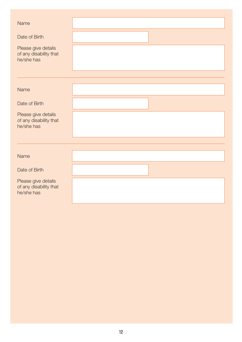| Name                                                        |  |
|-------------------------------------------------------------|--|
| Date of Birth                                               |  |
| Please give details<br>of any disability that<br>he/she has |  |
|                                                             |  |
| <b>Name</b>                                                 |  |
| Date of Birth                                               |  |
| Please give details<br>of any disability that<br>he/she has |  |
|                                                             |  |
| <b>Name</b>                                                 |  |
| Date of Birth                                               |  |
| Please give details<br>of any disability that<br>he/she has |  |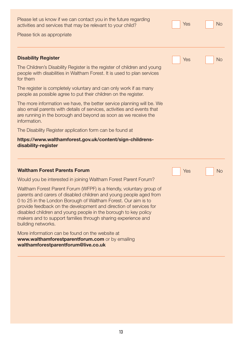Please let us know if we can contact you in the future regarding activities and services that may be relevant to your child? Please tick as appropriate **Disability Register** The Children's Disability Register is the register of children and young people with disabilities in Waltham Forest. It is used to plan services for them The register is completely voluntary and can only work if as many people as possible agree to put their children on the register. The more information we have, the better service planning will be. We also email parents with details of services, activities and events that are running in the borough and beyond as soon as we receive the information. The Disability Register application form can be found at **[https://www.walthamforest.gov.uk/content/sign-childrens](https://www.walthamforest.gov.uk/content/sign-childrens-disability-register)[disability-register](https://www.walthamforest.gov.uk/content/sign-childrens-disability-register) Waltham Forest Parents Forum** Would you be interested in joining Waltham Forest Parent Forum? Waltham Forest Parent Forum (WFPF) is a friendly, voluntary group of parents and carers of disabled children and young people aged from 0 to 25 in the London Borough of Waltham Forest. Our aim is to provide feedback on the development and direction of services for disabled children and young people in the borough to key policy makers and to support families through sharing experience and building networks. More information can be found on the website at **www.walthamforestparentforum.com** or by emailing **walthamforestparentforum@live.co.uk** Yes No Yes No Yes No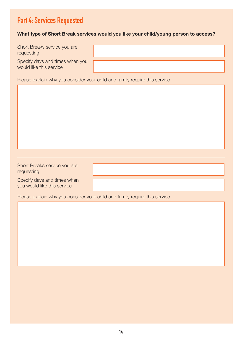## **Part 4: Services Requested**

#### **What type of Short Break services would you like your child/young person to access?**

| Short Breaks service you are |  |
|------------------------------|--|
| requesting                   |  |

Specify days and times when you would like this service

Please explain why you consider your child and family require this service

Short Breaks service you are requesting

Specify days and times when you would like this service

Please explain why you consider your child and family require this service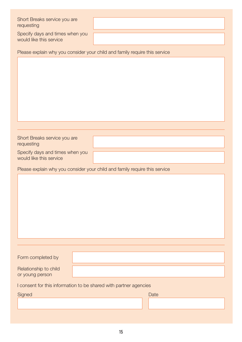Short Breaks service you are requesting

Specify days and times when you would like this service

Please explain why you consider your child and family require this service

Short Breaks service you are requesting

Specify days and times when you would like this service

Please explain why you consider your child and family require this service

| Form completed by     |  |
|-----------------------|--|
| Relationship to child |  |
| or young person       |  |

I consent for this information to be shared with partner agencies

| Signed | Date |
|--------|------|
|        |      |
|        |      |